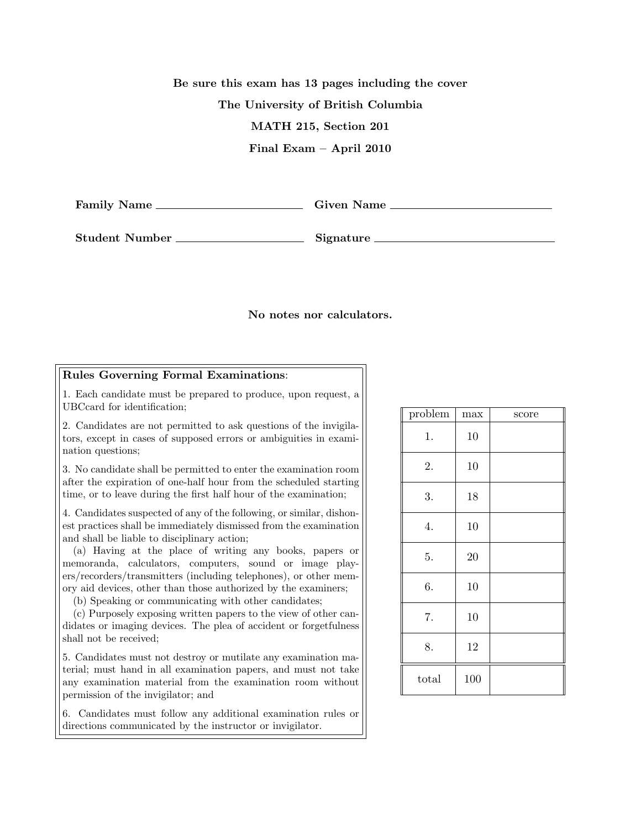Be sure this exam has 13 pages including the cover The University of British Columbia MATH 215, Section 201 Final Exam – April 2010

Family Name Given Name

Student Number Signature

## No notes nor calculators.

## Rules Governing Formal Examinations:

1. Each candidate must be prepared to produce, upon request, a UBCcard for identification;

2. Candidates are not permitted to ask questions of the invigilators, except in cases of supposed errors or ambiguities in examination questions;

3. No candidate shall be permitted to enter the examination room after the expiration of one-half hour from the scheduled starting time, or to leave during the first half hour of the examination;

4. Candidates suspected of any of the following, or similar, dishonest practices shall be immediately dismissed from the examination and shall be liable to disciplinary action;

(a) Having at the place of writing any books, papers or memoranda, calculators, computers, sound or image players/recorders/transmitters (including telephones), or other memory aid devices, other than those authorized by the examiners;

(b) Speaking or communicating with other candidates;

(c) Purposely exposing written papers to the view of other candidates or imaging devices. The plea of accident or forgetfulness shall not be received;

5. Candidates must not destroy or mutilate any examination material; must hand in all examination papers, and must not take any examination material from the examination room without permission of the invigilator; and

6. Candidates must follow any additional examination rules or directions communicated by the instructor or invigilator.

| problem | max | score |
|---------|-----|-------|
| 1.      | 10  |       |
| 2.      | 10  |       |
| 3.      | 18  |       |
| 4.      | 10  |       |
| 5.      | 20  |       |
| 6.      | 10  |       |
| 7.      | 10  |       |
| 8.      | 12  |       |
| total   | 100 |       |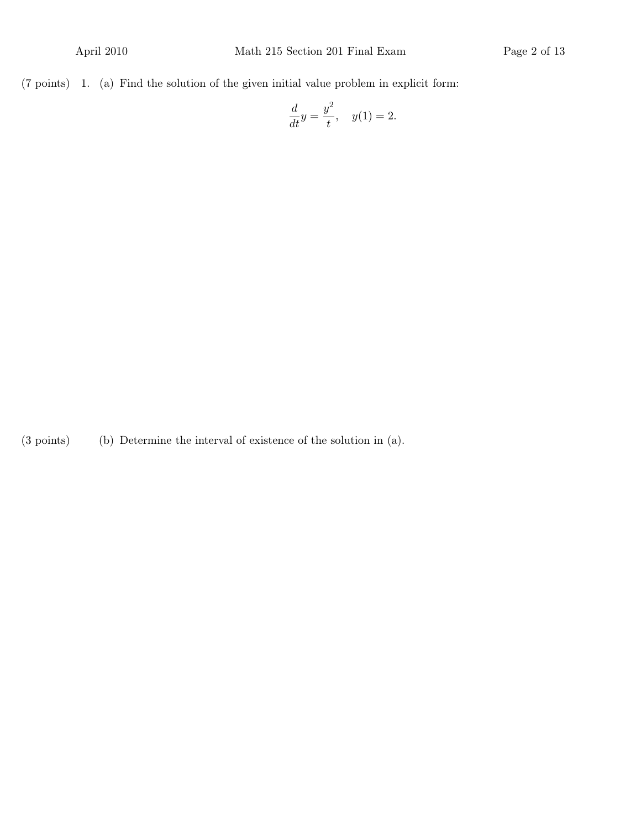$(7 \text{ points})$  1. (a) Find the solution of the given initial value problem in explicit form:

$$
\frac{d}{dt}y = \frac{y^2}{t}, \quad y(1) = 2.
$$

 $(3 \text{ points})$  (b) Determine the interval of existence of the solution in  $(a)$ .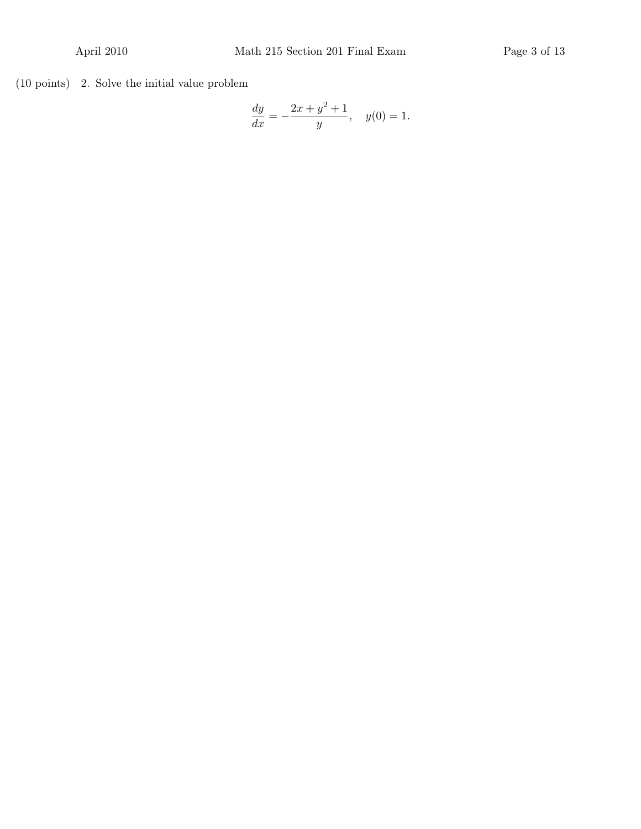$(10 \text{ points})$  2. Solve the initial value problem

$$
\frac{dy}{dx} = -\frac{2x + y^2 + 1}{y}, \quad y(0) = 1.
$$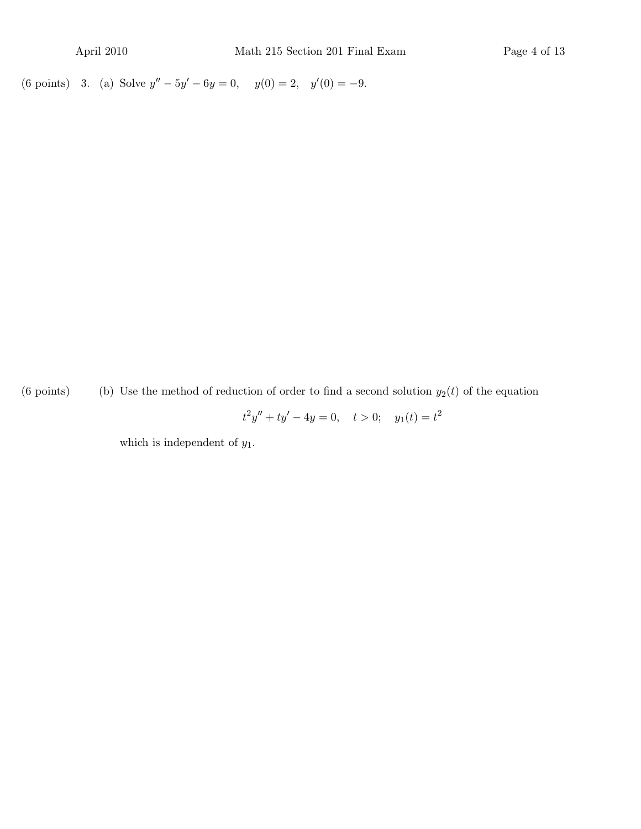(6 points) 3. (a) Solve  $y'' - 5y' - 6y = 0$ ,  $y(0) = 2$ ,  $y'(0) = -9$ .

(6 points) (b) Use the method of reduction of order to find a second solution  $y_2(t)$  of the equation

 $t^2y'' + ty' - 4y = 0, \quad t > 0; \quad y_1(t) = t^2$ 

which is independent of  $y_1$ .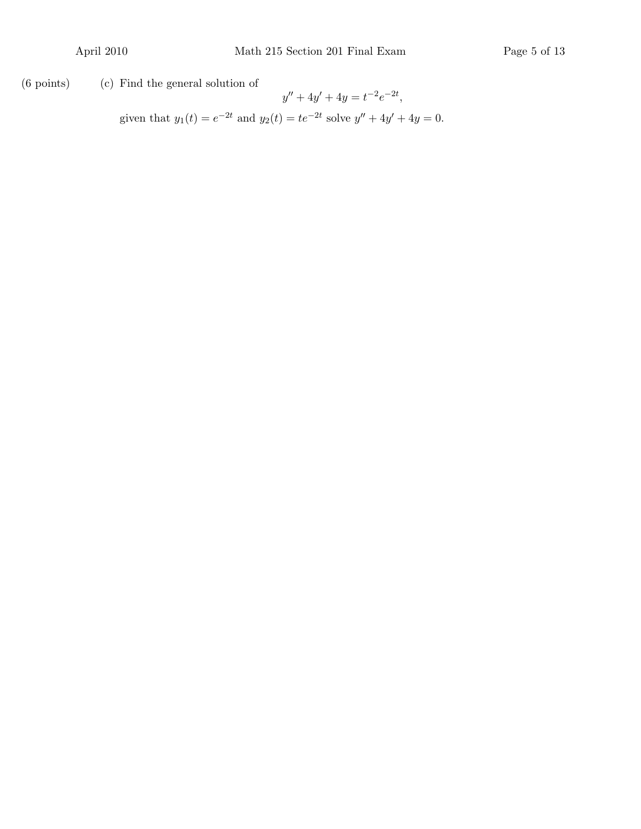$(6 \text{ points})$   $(c)$  Find the general solution of

 $y'' + 4y' + 4y = t^{-2}e^{-2t},$ given that  $y_1(t) = e^{-2t}$  and  $y_2(t) = te^{-2t}$  solve  $y'' + 4y' + 4y = 0$ .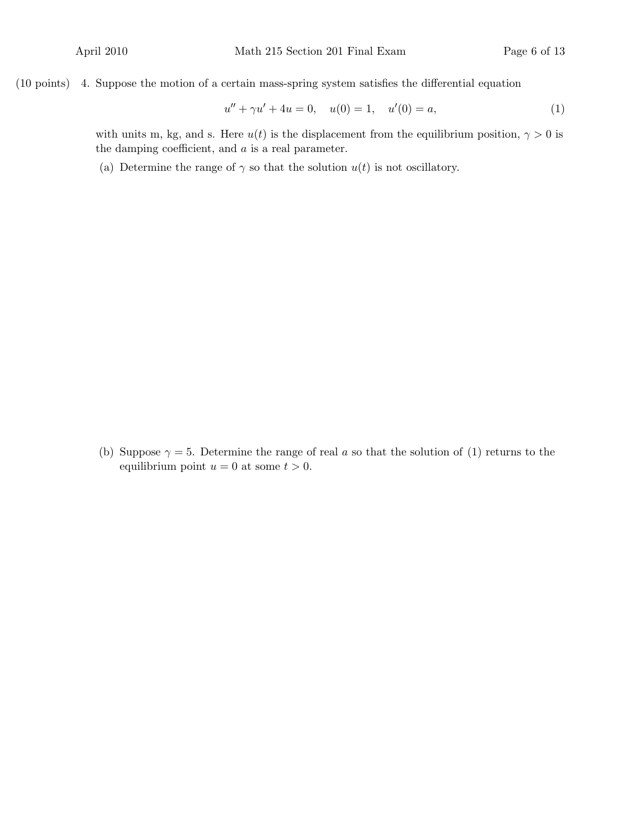$(10 \text{ points})$  4. Suppose the motion of a certain mass-spring system satisfies the differential equation

$$
u'' + \gamma u' + 4u = 0, \quad u(0) = 1, \quad u'(0) = a,\tag{1}
$$

with units m, kg, and s. Here  $u(t)$  is the displacement from the equilibrium position,  $\gamma > 0$  is the damping coefficient, and  $a$  is a real parameter.

(a) Determine the range of  $\gamma$  so that the solution  $u(t)$  is not oscillatory.

(b) Suppose  $\gamma = 5$ . Determine the range of real a so that the solution of (1) returns to the equilibrium point  $u = 0$  at some  $t > 0$ .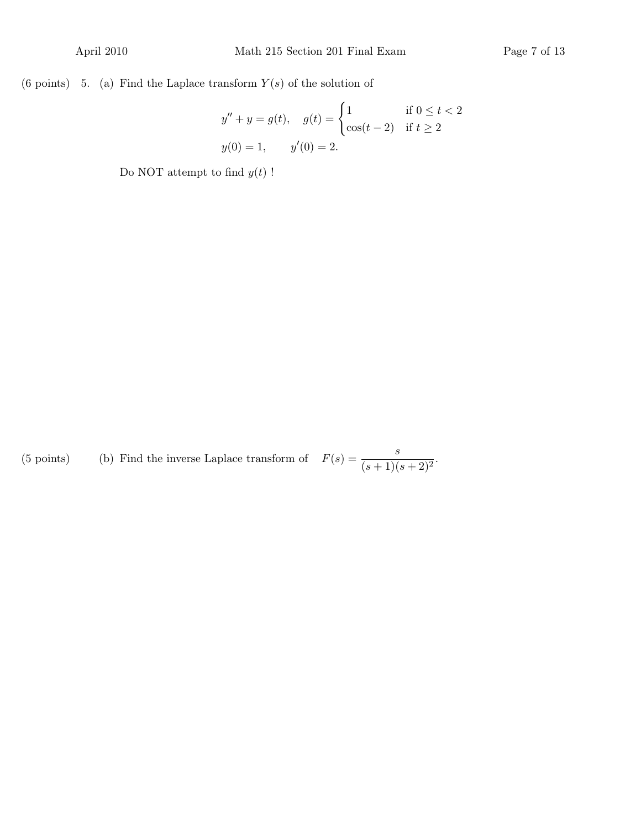(6 points) 5. (a) Find the Laplace transform  $Y(s)$  of the solution of

$$
y'' + y = g(t), \quad g(t) = \begin{cases} 1 & \text{if } 0 \le t < 2 \\ \cos(t - 2) & \text{if } t \ge 2 \end{cases}
$$

$$
y(0) = 1, \quad y'(0) = 2.
$$

Do NOT attempt to find  $y(t)$ !

(5 points) (b) Find the inverse Laplace transform of  $F(s) = \frac{s}{(s+1)(s+2)^2}$ .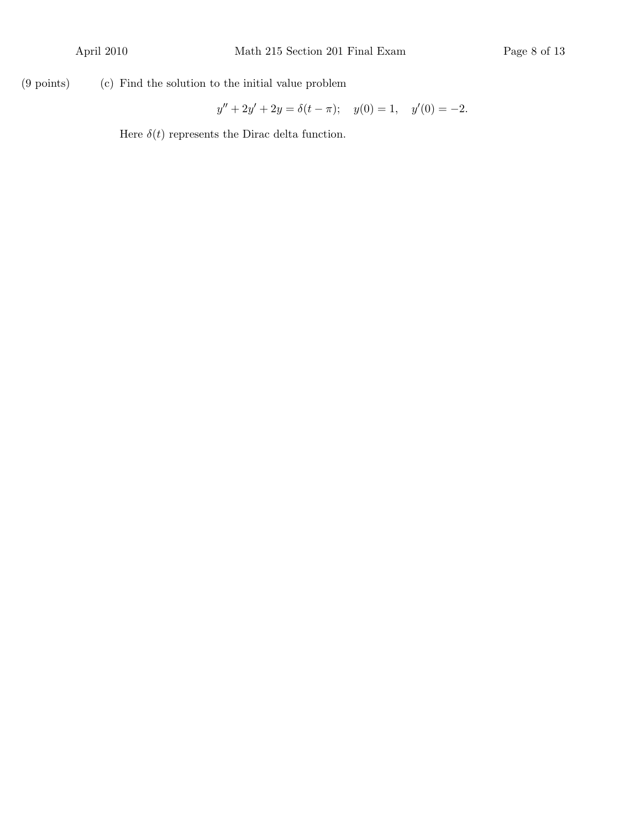$(9 \text{ points})$   $(c)$  Find the solution to the initial value problem

$$
y'' + 2y' + 2y = \delta(t - \pi); \quad y(0) = 1, \quad y'(0) = -2.
$$

Here  $\delta(t)$  represents the Dirac delta function.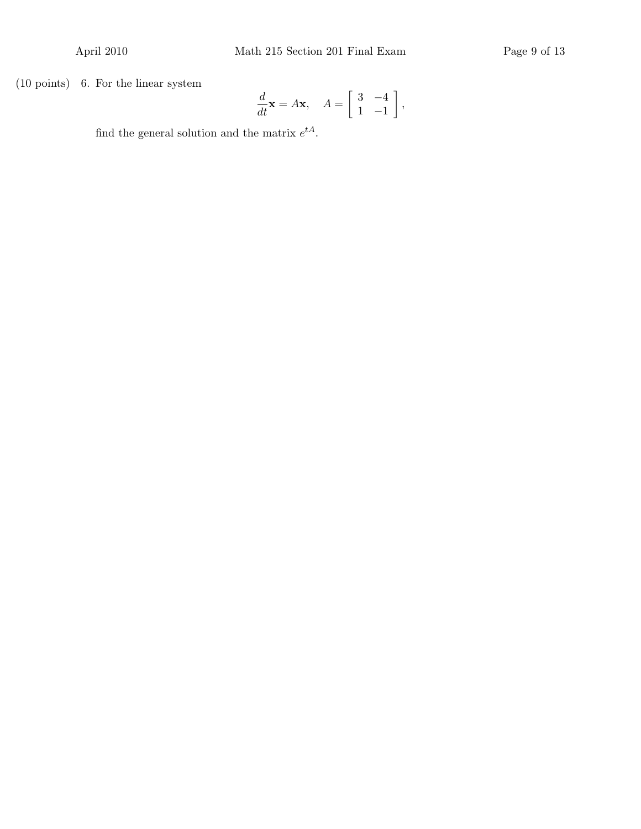$(10 \text{ points})$  6. For the linear system

$$
\frac{d}{dt}\mathbf{x} = A\mathbf{x}, \quad A = \begin{bmatrix} 3 & -4 \\ 1 & -1 \end{bmatrix},
$$

find the general solution and the matrix  $e^{tA}$ .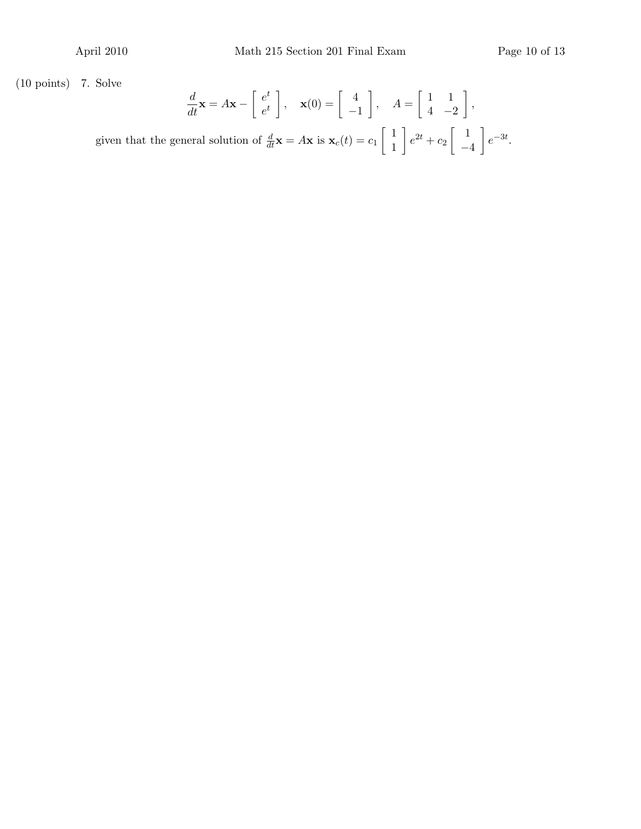$(10 \text{ points})$  7. Solve

$$
\frac{d}{dt}\mathbf{x} = A\mathbf{x} - \begin{bmatrix} e^t \\ e^t \end{bmatrix}, \quad \mathbf{x}(0) = \begin{bmatrix} 4 \\ -1 \end{bmatrix}, \quad A = \begin{bmatrix} 1 & 1 \\ 4 & -2 \end{bmatrix},
$$

given that the general solution of  $\frac{d}{dt}\mathbf{x} = A\mathbf{x}$  is  $\mathbf{x}_c(t) = c_1 \begin{bmatrix} 1 \\ 1 \end{bmatrix}$ 1  $\Big\}\,e^{2t}+c_2\,\Big\{\,1$ −4  $\Big] e^{-3t}.$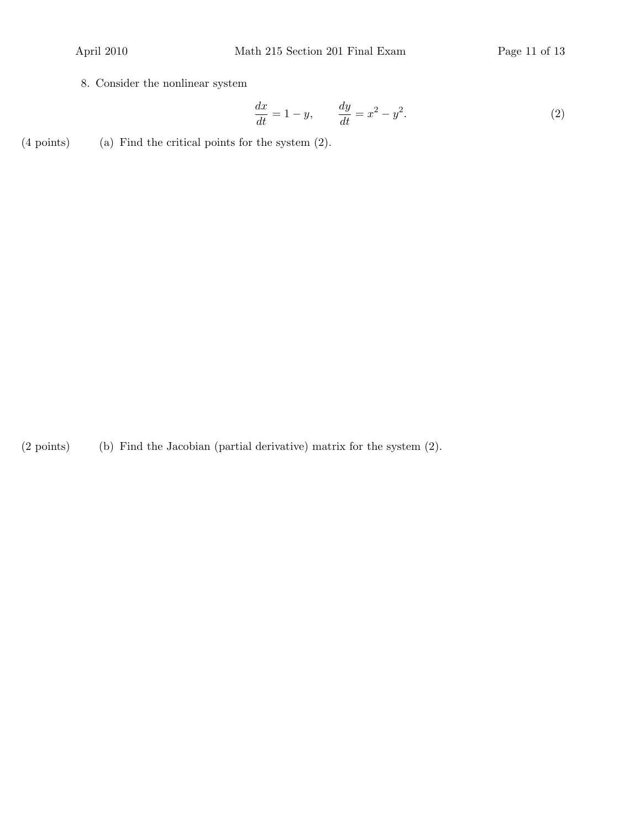8. Consider the nonlinear system

$$
\frac{dx}{dt} = 1 - y, \qquad \frac{dy}{dt} = x^2 - y^2.
$$
\n<sup>(2)</sup>

 $(4 \text{ points})$  (a) Find the critical points for the system  $(2)$ .

 $(2 \text{ points})$  (b) Find the Jacobian (partial derivative) matrix for the system  $(2)$ .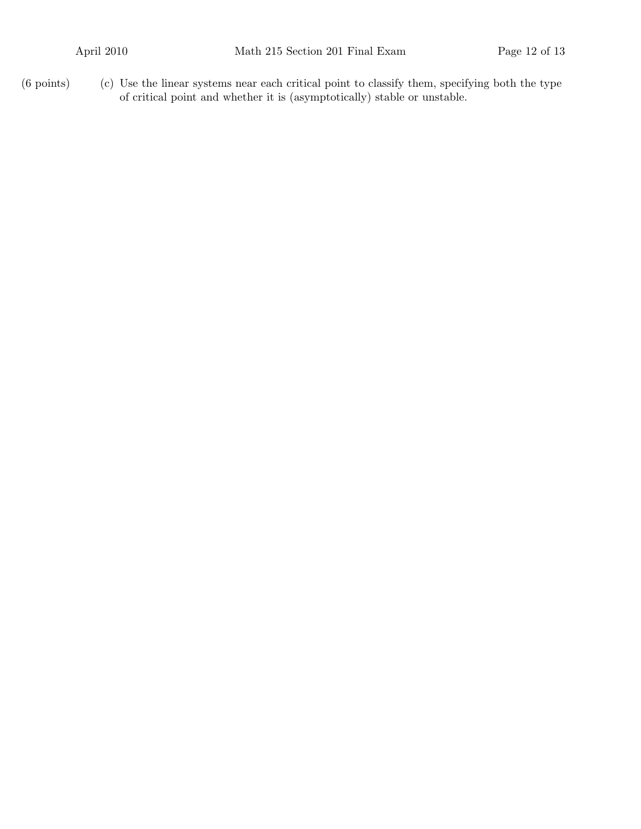$(6 \text{ points})$  (c) Use the linear systems near each critical point to classify them, specifying both the type of critical point and whether it is (asymptotically) stable or unstable.